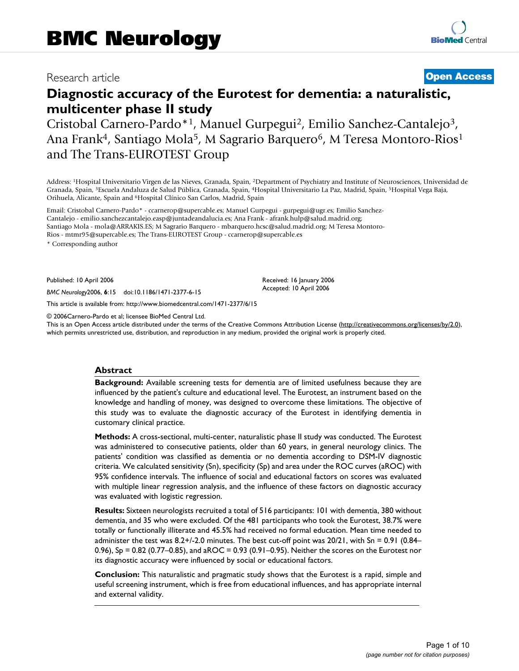# Research article **[Open Access](http://www.biomedcentral.com/info/about/charter/)**

# **Diagnostic accuracy of the Eurotest for dementia: a naturalistic, multicenter phase II study**

Cristobal Carnero-Pardo\*1, Manuel Gurpegui2, Emilio Sanchez-Cantalejo3, Ana Frank<sup>4</sup>, Santiago Mola<sup>5</sup>, M Sagrario Barquero<sup>6</sup>, M Teresa Montoro-Rios<sup>1</sup> and The Trans-EUROTEST Group

Address: 1Hospital Universitario Virgen de las Nieves, Granada, Spain, 2Department of Psychiatry and Institute of Neurosciences, Universidad de Granada, Spain, 3Escuela Andaluza de Salud Pública, Granada, Spain, 4Hospital Universitario La Paz, Madrid, Spain, 5Hospital Vega Baja, Orihuela, Alicante, Spain and 6Hospital Clínico San Carlos, Madrid, Spain

Email: Cristobal Carnero-Pardo\* - ccarnerop@supercable.es; Manuel Gurpegui - gurpegui@ugr.es; Emilio Sanchez-Cantalejo - emilio.sanchezcantalejo.easp@juntadeandalucia.es; Ana Frank - afrank.hulp@salud.madrid.org; Santiago Mola - mola@ARRAKIS.ES; M Sagrario Barquero - mbarquero.hcsc@salud.madrid.org; M Teresa Montoro-Rios - mtmr95@supercable.es; The Trans-EUROTEST Group - ccarnerop@supercable.es

\* Corresponding author

Published: 10 April 2006

*BMC Neurology*2006, **6**:15 doi:10.1186/1471-2377-6-15

[This article is available from: http://www.biomedcentral.com/1471-2377/6/15](http://www.biomedcentral.com/1471-2377/6/15)

© 2006Carnero-Pardo et al; licensee BioMed Central Ltd.

This is an Open Access article distributed under the terms of the Creative Commons Attribution License [\(http://creativecommons.org/licenses/by/2.0\)](http://creativecommons.org/licenses/by/2.0), which permits unrestricted use, distribution, and reproduction in any medium, provided the original work is properly cited.

Received: 16 January 2006 Accepted: 10 April 2006

#### **Abstract**

**Background:** Available screening tests for dementia are of limited usefulness because they are influenced by the patient's culture and educational level. The Eurotest, an instrument based on the knowledge and handling of money, was designed to overcome these limitations. The objective of this study was to evaluate the diagnostic accuracy of the Eurotest in identifying dementia in customary clinical practice.

**Methods:** A cross-sectional, multi-center, naturalistic phase II study was conducted. The Eurotest was administered to consecutive patients, older than 60 years, in general neurology clinics. The patients' condition was classified as dementia or no dementia according to DSM-IV diagnostic criteria. We calculated sensitivity (Sn), specificity (Sp) and area under the ROC curves (aROC) with 95% confidence intervals. The influence of social and educational factors on scores was evaluated with multiple linear regression analysis, and the influence of these factors on diagnostic accuracy was evaluated with logistic regression.

**Results:** Sixteen neurologists recruited a total of 516 participants: 101 with dementia, 380 without dementia, and 35 who were excluded. Of the 481 participants who took the Eurotest, 38.7% were totally or functionally illiterate and 45.5% had received no formal education. Mean time needed to administer the test was 8.2+/-2.0 minutes. The best cut-off point was 20/21, with Sn = 0.91 (0.84– 0.96), Sp = 0.82 (0.77–0.85), and aROC = 0.93 (0.91–0.95). Neither the scores on the Eurotest nor its diagnostic accuracy were influenced by social or educational factors.

**Conclusion:** This naturalistic and pragmatic study shows that the Eurotest is a rapid, simple and useful screening instrument, which is free from educational influences, and has appropriate internal and external validity.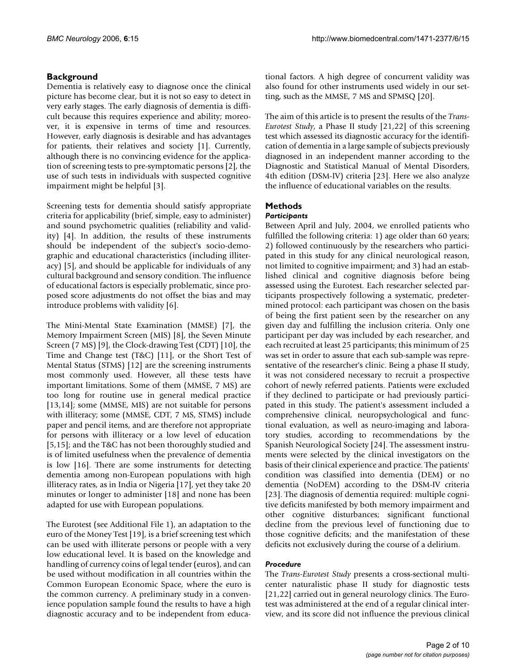# **Background**

Dementia is relatively easy to diagnose once the clinical picture has become clear, but it is not so easy to detect in very early stages. The early diagnosis of dementia is difficult because this requires experience and ability; moreover, it is expensive in terms of time and resources. However, early diagnosis is desirable and has advantages for patients, their relatives and society [1]. Currently, although there is no convincing evidence for the application of screening tests to pre-symptomatic persons [2], the use of such tests in individuals with suspected cognitive impairment might be helpful [3].

Screening tests for dementia should satisfy appropriate criteria for applicability (brief, simple, easy to administer) and sound psychometric qualities (reliability and validity) [4]. In addition, the results of these instruments should be independent of the subject's socio-demographic and educational characteristics (including illiteracy) [5], and should be applicable for individuals of any cultural background and sensory condition. The influence of educational factors is especially problematic, since proposed score adjustments do not offset the bias and may introduce problems with validity [6].

The Mini-Mental State Examination (MMSE) [7], the Memory Impairment Screen (MIS) [8], the Seven Minute Screen (7 MS) [9], the Clock-drawing Test (CDT) [10], the Time and Change test (T&C) [11], or the Short Test of Mental Status (STMS) [12] are the screening instruments most commonly used. However, all these tests have important limitations. Some of them (MMSE, 7 MS) are too long for routine use in general medical practice [13,14]; some (MMSE, MIS) are not suitable for persons with illiteracy; some (MMSE, CDT, 7 MS, STMS) include paper and pencil items, and are therefore not appropriate for persons with illiteracy or a low level of education [5,15]; and the T&C has not been thoroughly studied and is of limited usefulness when the prevalence of dementia is low [16]. There are some instruments for detecting dementia among non-European populations with high illiteracy rates, as in India or Nigeria [17], yet they take 20 minutes or longer to administer [18] and none has been adapted for use with European populations.

The Eurotest (see Additional File 1), an adaptation to the euro of the Money Test [19], is a brief screening test which can be used with illiterate persons or people with a very low educational level. It is based on the knowledge and handling of currency coins of legal tender (euros), and can be used without modification in all countries within the Common European Economic Space, where the euro is the common currency. A preliminary study in a convenience population sample found the results to have a high diagnostic accuracy and to be independent from educational factors. A high degree of concurrent validity was also found for other instruments used widely in our setting, such as the MMSE, 7 MS and SPMSQ [20].

The aim of this article is to present the results of the *Trans-Eurotest Study*, a Phase II study [21,22] of this screening test which assessed its diagnostic accuracy for the identification of dementia in a large sample of subjects previously diagnosed in an independent manner according to the Diagnostic and Statistical Manual of Mental Disorders, 4th edition (DSM-IV) criteria [23]. Here we also analyze the influence of educational variables on the results.

# **Methods**

### *Participants*

Between April and July, 2004, we enrolled patients who fulfilled the following criteria: 1) age older than 60 years; 2) followed continuously by the researchers who participated in this study for any clinical neurological reason, not limited to cognitive impairment; and 3) had an established clinical and cognitive diagnosis before being assessed using the Eurotest. Each researcher selected participants prospectively following a systematic, predetermined protocol: each participant was chosen on the basis of being the first patient seen by the researcher on any given day and fulfilling the inclusion criteria. Only one participant per day was included by each researcher, and each recruited at least 25 participants; this minimum of 25 was set in order to assure that each sub-sample was representative of the researcher's clinic. Being a phase II study, it was not considered necessary to recruit a prospective cohort of newly referred patients. Patients were excluded if they declined to participate or had previously participated in this study. The patient's assessment included a comprehensive clinical, neuropsychological and functional evaluation, as well as neuro-imaging and laboratory studies, according to recommendations by the Spanish Neurological Society [24]. The assessment instruments were selected by the clinical investigators on the basis of their clinical experience and practice. The patients' condition was classified into dementia (DEM) or no dementia (NoDEM) according to the DSM-IV criteria [23]. The diagnosis of dementia required: multiple cognitive deficits manifested by both memory impairment and other cognitive disturbances; significant functional decline from the previous level of functioning due to those cognitive deficits; and the manifestation of these deficits not exclusively during the course of a delirium.

# *Procedure*

The *Trans-Eurotest Study* presents a cross-sectional multicenter naturalistic phase II study for diagnostic tests [21,22] carried out in general neurology clinics. The Eurotest was administered at the end of a regular clinical interview, and its score did not influence the previous clinical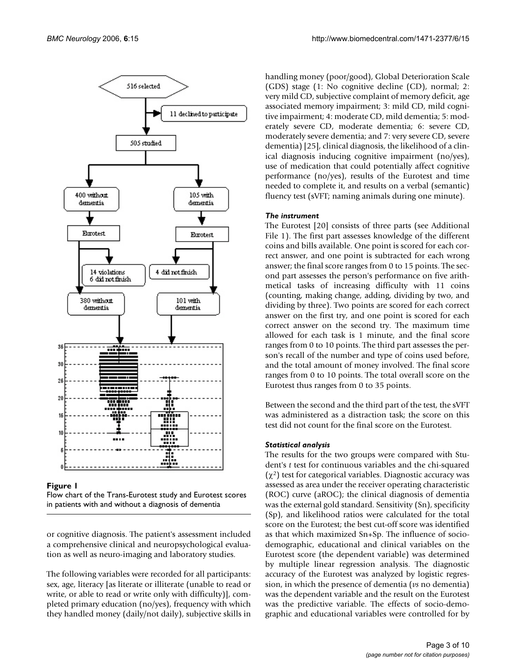

Figure 1

Flow chart of the Trans-Eurotest study and Eurotest scores in patients with and without a diagnosis of dementia

or cognitive diagnosis. The patient's assessment included a comprehensive clinical and neuropsychological evaluation as well as neuro-imaging and laboratory studies.

The following variables were recorded for all participants: sex, age, literacy [as literate or illiterate (unable to read or write, or able to read or write only with difficulty)], completed primary education (no/yes), frequency with which they handled money (daily/not daily), subjective skills in

handling money (poor/good), Global Deterioration Scale (GDS) stage (1: No cognitive decline (CD), normal; 2: very mild CD, subjective complaint of memory deficit, age associated memory impairment; 3: mild CD, mild cognitive impairment; 4: moderate CD, mild dementia; 5: moderately severe CD, moderate dementia; 6: severe CD, moderately severe dementia; and 7: very severe CD, severe dementia) [25], clinical diagnosis, the likelihood of a clinical diagnosis inducing cognitive impairment (no/yes), use of medication that could potentially affect cognitive performance (no/yes), results of the Eurotest and time needed to complete it, and results on a verbal (semantic) fluency test (sVFT; naming animals during one minute).

### *The instrument*

The Eurotest [20] consists of three parts (see Additional File 1). The first part assesses knowledge of the different coins and bills available. One point is scored for each correct answer, and one point is subtracted for each wrong answer; the final score ranges from 0 to 15 points. The second part assesses the person's performance on five arithmetical tasks of increasing difficulty with 11 coins (counting, making change, adding, dividing by two, and dividing by three). Two points are scored for each correct answer on the first try, and one point is scored for each correct answer on the second try. The maximum time allowed for each task is 1 minute, and the final score ranges from 0 to 10 points. The third part assesses the person's recall of the number and type of coins used before, and the total amount of money involved. The final score ranges from 0 to 10 points. The total overall score on the Eurotest thus ranges from 0 to 35 points.

Between the second and the third part of the test, the sVFT was administered as a distraction task; the score on this test did not count for the final score on the Eurotest.

#### *Statistical analysis*

The results for the two groups were compared with Student's *t* test for continuous variables and the chi-squared  $(\chi^2)$  test for categorical variables. Diagnostic accuracy was assessed as area under the receiver operating characteristic (ROC) curve (aROC); the clinical diagnosis of dementia was the external gold standard. Sensitivity (Sn), specificity (Sp), and likelihood ratios were calculated for the total score on the Eurotest; the best cut-off score was identified as that which maximized Sn+Sp. The influence of sociodemographic, educational and clinical variables on the Eurotest score (the dependent variable) was determined by multiple linear regression analysis. The diagnostic accuracy of the Eurotest was analyzed by logistic regression, in which the presence of dementia (*vs* no dementia) was the dependent variable and the result on the Eurotest was the predictive variable. The effects of socio-demographic and educational variables were controlled for by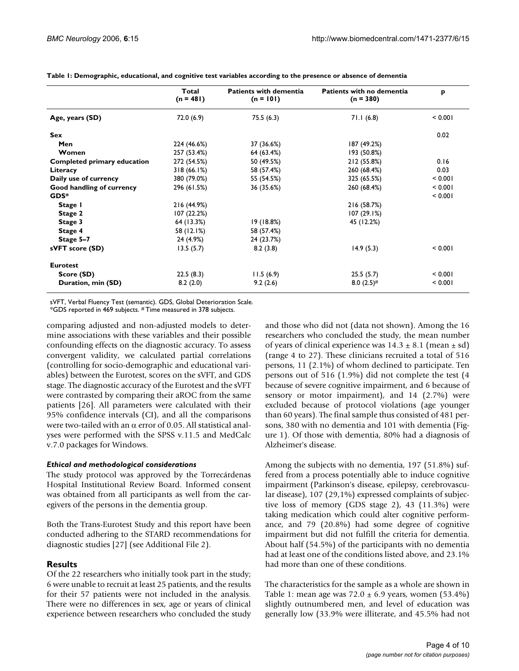|                                    | Total<br>$(n = 481)$ | <b>Patients with dementia</b><br>$(n = 101)$ | Patients with no dementia<br>$(n = 380)$ | p       |
|------------------------------------|----------------------|----------------------------------------------|------------------------------------------|---------|
| Age, years (SD)                    | 72.0 (6.9)           | 75.5(6.3)                                    | 71.1(6.8)                                | < 0.001 |
| <b>Sex</b>                         |                      |                                              |                                          | 0.02    |
| Men                                | 224 (46.6%)          | 37 (36.6%)                                   | 187 (49.2%)                              |         |
| Women                              | 257 (53.4%)          | 64 (63.4%)                                   | 193 (50.8%)                              |         |
| <b>Completed primary education</b> | 272 (54.5%)          | 50 (49.5%)                                   | 212 (55.8%)                              | 0.16    |
| Literacy                           | 318(66.1%)           | 58 (57.4%)                                   | 260 (68.4%)                              | 0.03    |
| Daily use of currency              | 380 (79.0%)          | 55 (54.5%)                                   | 325 (65.5%)                              | < 0.001 |
| Good handling of currency          | 296 (61.5%)          | 36 (35.6%)                                   | 260 (68.4%)                              | < 0.001 |
| $GDS*$                             |                      |                                              |                                          | < 0.001 |
| Stage I                            | 216 (44.9%)          |                                              | 216 (58.7%)                              |         |
| Stage 2                            | 107 (22.2%)          |                                              | 107(29.1%)                               |         |
| Stage 3                            | 64 (13.3%)           | 19(18.8%)                                    | 45 (12.2%)                               |         |
| Stage 4                            | 58 (12.1%)           | 58 (57.4%)                                   |                                          |         |
| Stage 5-7                          | 24 (4.9%)            | 24 (23.7%)                                   |                                          |         |
| sVFT score (SD)                    | 13.5(5.7)            | 8.2(3.8)                                     | 14.9(5.3)                                | < 0.001 |
| <b>Eurotest</b>                    |                      |                                              |                                          |         |
| Score (SD)                         | 22.5(8.3)            | 11.5(6.9)                                    | 25.5(5.7)                                | < 0.001 |
| Duration, min (SD)                 | 8.2(2.0)             | 9.2(2.6)                                     | 8.0 $(2.5)$ <sup>#</sup>                 | < 0.001 |

**Table 1: Demographic, educational, and cognitive test variables according to the presence or absence of dementia**

sVFT, Verbal Fluency Test (semantic). GDS, Global Deterioration Scale.

\*GDS reported in 469 subjects. # Time measured in 378 subjects.

comparing adjusted and non-adjusted models to determine associations with these variables and their possible confounding effects on the diagnostic accuracy. To assess convergent validity, we calculated partial correlations (controlling for socio-demographic and educational variables) between the Eurotest, scores on the sVFT, and GDS stage. The diagnostic accuracy of the Eurotest and the sVFT were contrasted by comparing their aROC from the same patients [26]. All parameters were calculated with their 95% confidence intervals (CI), and all the comparisons were two-tailed with an  $\alpha$  error of 0.05. All statistical analyses were performed with the SPSS v.11.5 and MedCalc v.7.0 packages for Windows.

#### *Ethical and methodological considerations*

The study protocol was approved by the Torrecárdenas Hospital Institutional Review Board. Informed consent was obtained from all participants as well from the caregivers of the persons in the dementia group.

Both the Trans-Eurotest Study and this report have been conducted adhering to the STARD recommendations for diagnostic studies [27] (see Additional File 2).

# **Results**

Of the 22 researchers who initially took part in the study; 6 were unable to recruit at least 25 patients, and the results for their 57 patients were not included in the analysis. There were no differences in sex, age or years of clinical experience between researchers who concluded the study and those who did not (data not shown). Among the 16 researchers who concluded the study, the mean number of years of clinical experience was  $14.3 \pm 8.1$  (mean  $\pm$  sd) (range 4 to 27). These clinicians recruited a total of 516 persons, 11 (2.1%) of whom declined to participate. Ten persons out of 516 (1.9%) did not complete the test (4 because of severe cognitive impairment, and 6 because of sensory or motor impairment), and 14 (2.7%) were excluded because of protocol violations (age younger than 60 years). The final sample thus consisted of 481 persons, 380 with no dementia and 101 with dementia (Figure 1). Of those with dementia, 80% had a diagnosis of Alzheimer's disease.

Among the subjects with no dementia, 197 (51.8%) suffered from a process potentially able to induce cognitive impairment (Parkinson's disease, epilepsy, cerebrovascular disease), 107 (29,1%) expressed complaints of subjective loss of memory (GDS stage 2), 43 (11.3%) were taking medication which could alter cognitive performance, and 79 (20.8%) had some degree of cognitive impairment but did not fulfill the criteria for dementia. About half (54.5%) of the participants with no dementia had at least one of the conditions listed above, and 23.1% had more than one of these conditions.

The characteristics for the sample as a whole are shown in Table 1: mean age was  $72.0 \pm 6.9$  years, women  $(53.4\%)$ slightly outnumbered men, and level of education was generally low (33.9% were illiterate, and 45.5% had not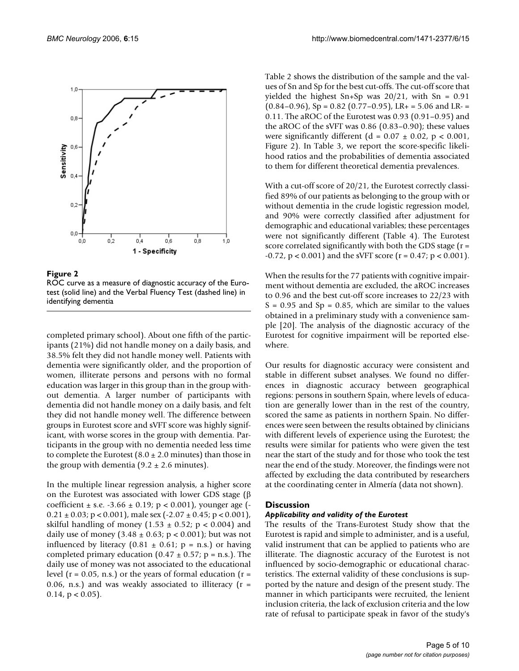

Figure 2

ROC curve as a measure of diagnostic accuracy of the Eurotest (solid line) and the Verbal Fluency Test (dashed line) in identifying dementia

completed primary school). About one fifth of the participants (21%) did not handle money on a daily basis, and 38.5% felt they did not handle money well. Patients with dementia were significantly older, and the proportion of women, illiterate persons and persons with no formal education was larger in this group than in the group without dementia. A larger number of participants with dementia did not handle money on a daily basis, and felt they did not handle money well. The difference between groups in Eurotest score and sVFT score was highly significant, with worse scores in the group with dementia. Participants in the group with no dementia needed less time to complete the Eurotest ( $8.0 \pm 2.0$  minutes) than those in the group with dementia  $(9.2 \pm 2.6 \text{ minutes})$ .

In the multiple linear regression analysis, a higher score on the Eurotest was associated with lower GDS stage (β coefficient  $\pm$  s.e. -3.66  $\pm$  0.19; p < 0.001), younger age (- $0.21 \pm 0.03$ ; p < 0.001), male sex  $(-2.07 \pm 0.45$ ; p < 0.001), skilful handling of money (1.53  $\pm$  0.52; p < 0.004) and daily use of money  $(3.48 \pm 0.63; p < 0.001)$ ; but was not influenced by literacy  $(0.81 \pm 0.61; p = n.s.)$  or having completed primary education  $(0.47 \pm 0.57; p = n.s.)$ . The daily use of money was not associated to the educational level ( $r = 0.05$ , n.s.) or the years of formal education ( $r =$ 0.06, n.s.) and was weakly associated to illiteracy  $(r =$  $0.14$ ,  $p < 0.05$ ).

Table 2 shows the distribution of the sample and the values of Sn and Sp for the best cut-offs. The cut-off score that yielded the highest  $Sn+Sp$  was  $20/21$ , with  $Sn = 0.91$  $(0.84-0.96)$ , Sp = 0.82  $(0.77-0.95)$ , LR+ = 5.06 and LR- = 0.11. The aROC of the Eurotest was 0.93 (0.91–0.95) and the aROC of the sVFT was 0.86 (0.83–0.90); these values were significantly different (d =  $0.07 \pm 0.02$ , p <  $0.001$ , Figure 2). In Table 3, we report the score-specific likelihood ratios and the probabilities of dementia associated to them for different theoretical dementia prevalences.

With a cut-off score of 20/21, the Eurotest correctly classified 89% of our patients as belonging to the group with or without dementia in the crude logistic regression model, and 90% were correctly classified after adjustment for demographic and educational variables; these percentages were not significantly different (Table 4). The Eurotest score correlated significantly with both the GDS stage (r =  $-0.72$ , p < 0.001) and the sVFT score (r = 0.47; p < 0.001).

When the results for the 77 patients with cognitive impairment without dementia are excluded, the aROC increases to 0.96 and the best cut-off score increases to 22/23 with  $S = 0.95$  and  $Sp = 0.85$ , which are similar to the values obtained in a preliminary study with a convenience sample [20]. The analysis of the diagnostic accuracy of the Eurotest for cognitive impairment will be reported elsewhere.

Our results for diagnostic accuracy were consistent and stable in different subset analyses. We found no differences in diagnostic accuracy between geographical regions: persons in southern Spain, where levels of education are generally lower than in the rest of the country, scored the same as patients in northern Spain. No differences were seen between the results obtained by clinicians with different levels of experience using the Eurotest; the results were similar for patients who were given the test near the start of the study and for those who took the test near the end of the study. Moreover, the findings were not affected by excluding the data contributed by researchers at the coordinating center in Almería (data not shown).

#### **Discussion**

#### *Applicability and validity of the Eurotest*

The results of the Trans-Eurotest Study show that the Eurotest is rapid and simple to administer, and is a useful, valid instrument that can be applied to patients who are illiterate. The diagnostic accuracy of the Eurotest is not influenced by socio-demographic or educational characteristics. The external validity of these conclusions is supported by the nature and design of the present study. The manner in which participants were recruited, the lenient inclusion criteria, the lack of exclusion criteria and the low rate of refusal to participate speak in favor of the study's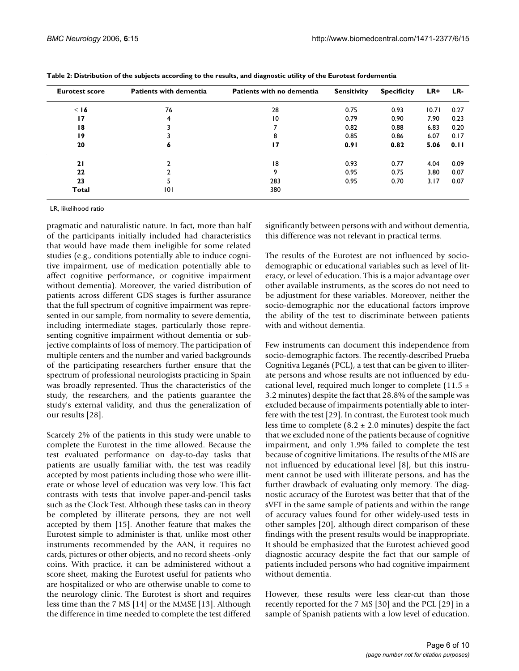| <b>Eurotest score</b> | <b>Patients with dementia</b> | Patients with no dementia | <b>Sensitivity</b> | <b>Specificity</b> | LR+   | LR-  |
|-----------------------|-------------------------------|---------------------------|--------------------|--------------------|-------|------|
| $\leq$ 16             | 76                            | 28                        | 0.75               | 0.93               | 10.71 | 0.27 |
| $\overline{17}$       | 4                             | $\overline{10}$           | 0.79               | 0.90               | 7.90  | 0.23 |
| 18                    |                               |                           | 0.82               | 0.88               | 6.83  | 0.20 |
| 19                    |                               | 8                         | 0.85               | 0.86               | 6.07  | 0.17 |
| 20                    | 6                             | 17                        | 0.91               | 0.82               | 5.06  | 0.11 |
| 21                    |                               | 18                        | 0.93               | 0.77               | 4.04  | 0.09 |
| 22                    |                               | 9                         | 0.95               | 0.75               | 3.80  | 0.07 |
| 23                    |                               | 283                       | 0.95               | 0.70               | 3.17  | 0.07 |
| Total                 | 101                           | 380                       |                    |                    |       |      |

LR, likelihood ratio

pragmatic and naturalistic nature. In fact, more than half of the participants initially included had characteristics that would have made them ineligible for some related studies (e.g., conditions potentially able to induce cognitive impairment, use of medication potentially able to affect cognitive performance, or cognitive impairment without dementia). Moreover, the varied distribution of patients across different GDS stages is further assurance that the full spectrum of cognitive impairment was represented in our sample, from normality to severe dementia, including intermediate stages, particularly those representing cognitive impairment without dementia or subjective complaints of loss of memory. The participation of multiple centers and the number and varied backgrounds of the participating researchers further ensure that the spectrum of professional neurologists practicing in Spain was broadly represented. Thus the characteristics of the study, the researchers, and the patients guarantee the study's external validity, and thus the generalization of our results [28].

Scarcely 2% of the patients in this study were unable to complete the Eurotest in the time allowed. Because the test evaluated performance on day-to-day tasks that patients are usually familiar with, the test was readily accepted by most patients including those who were illiterate or whose level of education was very low. This fact contrasts with tests that involve paper-and-pencil tasks such as the Clock Test. Although these tasks can in theory be completed by illiterate persons, they are not well accepted by them [15]. Another feature that makes the Eurotest simple to administer is that, unlike most other instruments recommended by the AAN, it requires no cards, pictures or other objects, and no record sheets -only coins. With practice, it can be administered without a score sheet, making the Eurotest useful for patients who are hospitalized or who are otherwise unable to come to the neurology clinic. The Eurotest is short and requires less time than the 7 MS [14] or the MMSE [13]. Although the difference in time needed to complete the test differed

significantly between persons with and without dementia, this difference was not relevant in practical terms.

The results of the Eurotest are not influenced by sociodemographic or educational variables such as level of literacy, or level of education. This is a major advantage over other available instruments, as the scores do not need to be adjustment for these variables. Moreover, neither the socio-demographic nor the educational factors improve the ability of the test to discriminate between patients with and without dementia.

Few instruments can document this independence from socio-demographic factors. The recently-described Prueba Cognitiva Leganés (PCL), a test that can be given to illiterate persons and whose results are not influenced by educational level, required much longer to complete (11.5  $\pm$ 3.2 minutes) despite the fact that 28.8% of the sample was excluded because of impairments potentially able to interfere with the test [29]. In contrast, the Eurotest took much less time to complete  $(8.2 \pm 2.0 \text{ minutes})$  despite the fact that we excluded none of the patients because of cognitive impairment, and only 1.9% failed to complete the test because of cognitive limitations. The results of the MIS are not influenced by educational level [8], but this instrument cannot be used with illiterate persons, and has the further drawback of evaluating only memory. The diagnostic accuracy of the Eurotest was better that that of the sVFT in the same sample of patients and within the range of accuracy values found for other widely-used tests in other samples [20], although direct comparison of these findings with the present results would be inappropriate. It should be emphasized that the Eurotest achieved good diagnostic accuracy despite the fact that our sample of patients included persons who had cognitive impairment without dementia.

However, these results were less clear-cut than those recently reported for the 7 MS [30] and the PCL [29] in a sample of Spanish patients with a low level of education.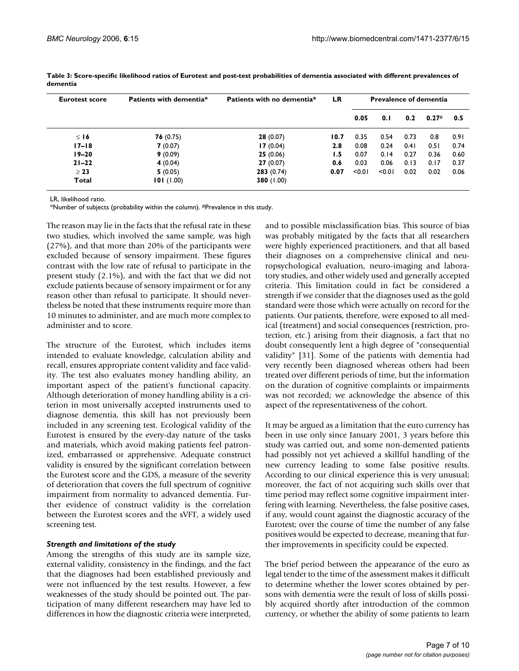| <b>Eurotest score</b> | Patients with dementia* | Patients with no dementia* | <b>LR</b> | <b>Prevalence of dementia</b> |        |      |       |      |  |
|-----------------------|-------------------------|----------------------------|-----------|-------------------------------|--------|------|-------|------|--|
|                       |                         |                            |           | 0.05                          | 0.1    | 0.2  | 0.27# | 0.5  |  |
| $\leq$ 16             | 76(0.75)                | 28(0.07)                   | 10.7      | 0.35                          | 0.54   | 0.73 | 0.8   | 0.91 |  |
| $17 - 18$             | 7(0.07)                 | 17(0.04)                   | 2.8       | 0.08                          | 0.24   | 0.41 | 0.51  | 0.74 |  |
| $19 - 20$             | 9(0.09)                 | 25(0.06)                   | 1.5       | 0.07                          | 0.14   | 0.27 | 0.36  | 0.60 |  |
| $21 - 22$             | 4 $(0.04)$              | 27(0.07)                   | 0.6       | 0.03                          | 0.06   | 0.13 | 0.17  | 0.37 |  |
| $\geq 23$             | 5(0.05)                 | 283(0.74)                  | 0.07      | < 0.01                        | < 0.01 | 0.02 | 0.02  | 0.06 |  |
| Total                 | 101(1.00)               | 380 $(1.00)$               |           |                               |        |      |       |      |  |

**Table 3: Score-specific likelihood ratios of Eurotest and post-test probabilities of dementia associated with different prevalences of dementia**

LR, likelihood ratio.

\*Number of subjects (probability within the column). #Prevalence in this study.

The reason may lie in the facts that the refusal rate in these two studies, which involved the same sample, was high (27%), and that more than 20% of the participants were excluded because of sensory impairment. These figures contrast with the low rate of refusal to participate in the present study (2.1%), and with the fact that we did not exclude patients because of sensory impairment or for any reason other than refusal to participate. It should nevertheless be noted that these instruments require more than 10 minutes to administer, and are much more complex to administer and to score.

The structure of the Eurotest, which includes items intended to evaluate knowledge, calculation ability and recall, ensures appropriate content validity and face validity. The test also evaluates money handling ability, an important aspect of the patient's functional capacity. Although deterioration of money handling ability is a criterion in most universally accepted instruments used to diagnose dementia, this skill has not previously been included in any screening test. Ecological validity of the Eurotest is ensured by the every-day nature of the tasks and materials, which avoid making patients feel patronized, embarrassed or apprehensive. Adequate construct validity is ensured by the significant correlation between the Eurotest score and the GDS, a measure of the severity of deterioration that covers the full spectrum of cognitive impairment from normality to advanced dementia. Further evidence of construct validity is the correlation between the Eurotest scores and the sVFT, a widely used screening test.

# *Strength and limitations of the study*

Among the strengths of this study are its sample size, external validity, consistency in the findings, and the fact that the diagnoses had been established previously and were not influenced by the test results. However, a few weaknesses of the study should be pointed out. The participation of many different researchers may have led to differences in how the diagnostic criteria were interpreted,

and to possible misclassification bias. This source of bias was probably mitigated by the facts that all researchers were highly experienced practitioners, and that all based their diagnoses on a comprehensive clinical and neuropsychological evaluation, neuro-imaging and laboratory studies, and other widely used and generally accepted criteria. This limitation could in fact be considered a strength if we consider that the diagnoses used as the gold standard were those which were actually on record for the patients. Our patients, therefore, were exposed to all medical (treatment) and social consequences (restriction, protection, etc.) arising from their diagnosis, a fact that no doubt consequently lent a high degree of "consequential validity" [31]. Some of the patients with dementia had very recently been diagnosed whereas others had been treated over different periods of time, but the information on the duration of cognitive complaints or impairments was not recorded; we acknowledge the absence of this aspect of the representativeness of the cohort.

It may be argued as a limitation that the euro currency has been in use only since January 2001, 3 years before this study was carried out, and some non-demented patients had possibly not yet achieved a skillful handling of the new currency leading to some false positive results. According to our clinical experience this is very unusual; moreover, the fact of not acquiring such skills over that time period may reflect some cognitive impairment interfering with learning. Nevertheless, the false positive cases, if any, would count against the diagnostic accuracy of the Eurotest; over the course of time the number of any false positives would be expected to decrease, meaning that further improvements in specificity could be expected.

The brief period between the appearance of the euro as legal tender to the time of the assessment makes it difficult to determine whether the lower scores obtained by persons with dementia were the result of loss of skills possibly acquired shortly after introduction of the common currency, or whether the ability of some patients to learn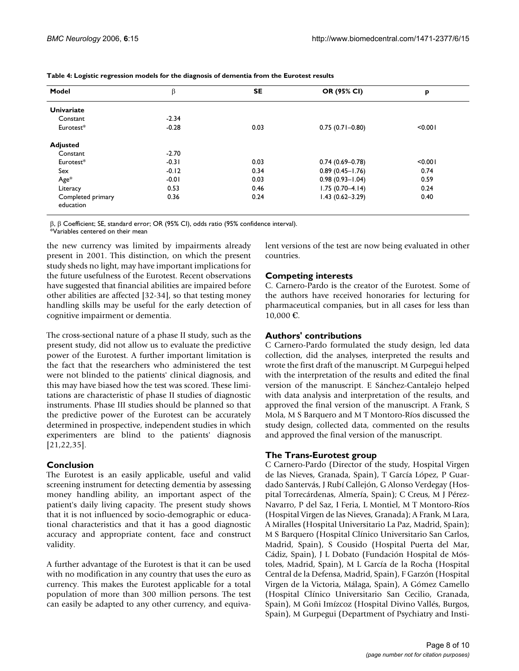| Model                          | β       | SE   | OR (95% CI)         | P       |
|--------------------------------|---------|------|---------------------|---------|
| <b>Univariate</b>              |         |      |                     |         |
| Constant                       | $-2.34$ |      |                     |         |
| Eurotest*                      | $-0.28$ | 0.03 | $0.75(0.71 - 0.80)$ | < 0.001 |
| <b>Adjusted</b>                |         |      |                     |         |
| Constant                       | $-2.70$ |      |                     |         |
| Eurotest*                      | $-0.31$ | 0.03 | $0.74(0.69 - 0.78)$ | < 0.001 |
| Sex                            | $-0.12$ | 0.34 | $0.89(0.45 - 1.76)$ | 0.74    |
| $Age*$                         | $-0.01$ | 0.03 | $0.98(0.93 - 1.04)$ | 0.59    |
| Literacy                       | 0.53    | 0.46 | $1.75(0.70-4.14)$   | 0.24    |
| Completed primary<br>education | 0.36    | 0.24 | $1.43(0.62 - 3.29)$ | 0.40    |

**Table 4: Logistic regression models for the diagnosis of dementia from the Eurotest results**

β, β Coefficient; SE, standard error; OR (95% CI), odds ratio (95% confidence interval).

\*Variables centered on their mean

the new currency was limited by impairments already present in 2001. This distinction, on which the present study sheds no light, may have important implications for the future usefulness of the Eurotest. Recent observations have suggested that financial abilities are impaired before other abilities are affected [32-34], so that testing money handling skills may be useful for the early detection of cognitive impairment or dementia.

The cross-sectional nature of a phase II study, such as the present study, did not allow us to evaluate the predictive power of the Eurotest. A further important limitation is the fact that the researchers who administered the test were not blinded to the patients' clinical diagnosis, and this may have biased how the test was scored. These limitations are characteristic of phase II studies of diagnostic instruments. Phase III studies should be planned so that the predictive power of the Eurotest can be accurately determined in prospective, independent studies in which experimenters are blind to the patients' diagnosis [21,22,35].

# **Conclusion**

The Eurotest is an easily applicable, useful and valid screening instrument for detecting dementia by assessing money handling ability, an important aspect of the patient's daily living capacity. The present study shows that it is not influenced by socio-demographic or educational characteristics and that it has a good diagnostic accuracy and appropriate content, face and construct validity.

A further advantage of the Eurotest is that it can be used with no modification in any country that uses the euro as currency. This makes the Eurotest applicable for a total population of more than 300 million persons. The test can easily be adapted to any other currency, and equivalent versions of the test are now being evaluated in other countries.

# **Competing interests**

C. Carnero-Pardo is the creator of the Eurotest. Some of the authors have received honoraries for lecturing for pharmaceutical companies, but in all cases for less than 10,000 €.

# **Authors' contributions**

C Carnero-Pardo formulated the study design, led data collection, did the analyses, interpreted the results and wrote the first draft of the manuscript. M Gurpegui helped with the interpretation of the results and edited the final version of the manuscript. E Sánchez-Cantalejo helped with data analysis and interpretation of the results, and approved the final version of the manuscript. A Frank, S Mola, M S Barquero and M T Montoro-Ríos discussed the study design, collected data, commented on the results and approved the final version of the manuscript.

# **The Trans-Eurotest group**

C Carnero-Pardo (Director of the study, Hospital Virgen de las Nieves, Granada, Spain), T García López, P Guardado Santervás, J Rubí Callejón, G Alonso Verdegay (Hospital Torrecárdenas, Almería, Spain); C Creus, M J Pérez-Navarro, P del Saz, I Feria, L Montiel, M T Montoro-Ríos (Hospital Virgen de las Nieves, Granada); A Frank, M Lara, A Miralles (Hospital Universitario La Paz, Madrid, Spain); M S Barquero (Hospital Clínico Universitario San Carlos, Madrid, Spain), S Cousido (Hospital Puerta del Mar, Cádiz, Spain), J L Dobato (Fundación Hospital de Móstoles, Madrid, Spain), M L García de la Rocha (Hospital Central de la Defensa, Madrid, Spain), F Garzón (Hospital Virgen de la Victoria, Málaga, Spain), A Gómez Camello (Hospital Clínico Universitario San Cecilio, Granada, Spain), M Goñi Imízcoz (Hospital Divino Vallés, Burgos, Spain), M Gurpegui (Department of Psychiatry and Insti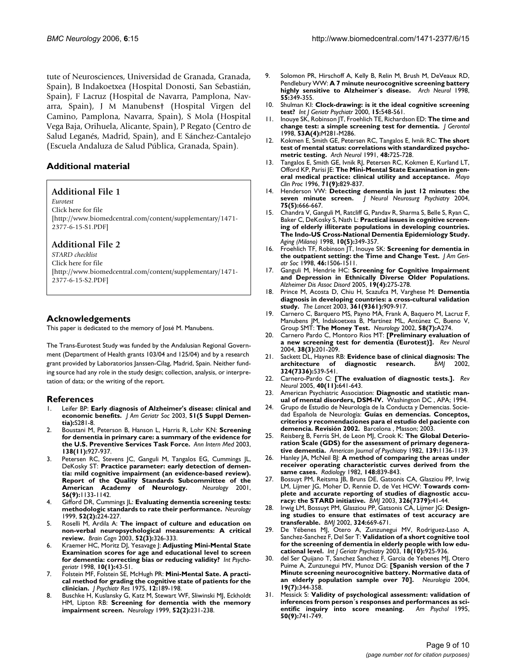tute of Neurosciences, Universidad de Granada, Granada, Spain), B Indakoetxea (Hospital Donosti, San Sebastián, Spain), F Lacruz (Hospital de Navarra, Pamplona, Navarra, Spain), J M Manubens**†** (Hospital Virgen del Camino, Pamplona, Navarra, Spain), S Mola (Hospital Vega Baja, Orihuela, Alicante, Spain), P Regato (Centro de Salud Leganés, Madrid, Spain), and E Sánchez-Cantalejo (Escuela Andaluza de Salud Pública, Granada, Spain).

# **Additional material**

**Additional File 1**

*Eurotest* Click here for file [\[http://www.biomedcentral.com/content/supplementary/1471-](http://www.biomedcentral.com/content/supplementary/1471-2377-6-15-S1.PDF) 2377-6-15-S1.PDF]

# **Additional File 2**

*STARD checklist* Click here for file [\[http://www.biomedcentral.com/content/supplementary/1471-](http://www.biomedcentral.com/content/supplementary/1471-2377-6-15-S2.PDF) 2377-6-15-S2.PDF]

# **Acknowledgements**

This paper is dedicated to the memory of José M. Manubens.

The Trans-Eurotest Study was funded by the Andalusian Regional Government (Department of Health grants 103/04 and 125/04) and by a research grant provided by Laboratorios Janssen-Cilag, Madrid, Spain. Neither funding source had any role in the study design; collection, analysis, or interpretation of data; or the writing of the report.

# **References**

- 1. Leifer BP: **Early diagnosis of Alzheimer's disease: clinical and economic benefits.** *J Am Geriatr Soc* 2003, **51(5 Suppl Dementia):**S281-8.
- 2. Boustani M, Peterson B, Hanson L, Harris R, Lohr KN: **[Screening](http://www.ncbi.nlm.nih.gov/entrez/query.fcgi?cmd=Retrieve&db=PubMed&dopt=Abstract&list_uids=12779304) [for dementia in primary care: a summary of the evidence for](http://www.ncbi.nlm.nih.gov/entrez/query.fcgi?cmd=Retrieve&db=PubMed&dopt=Abstract&list_uids=12779304) [the U.S. Preventive Services Task Force.](http://www.ncbi.nlm.nih.gov/entrez/query.fcgi?cmd=Retrieve&db=PubMed&dopt=Abstract&list_uids=12779304)** *Ann Intern Med* 2003, **138(11):**927-937.
- 3. Petersen RC, Stevens JC, Ganguli M, Tangalos EG, Cummings JL, DeKosky ST: **[Practice parameter: early detection of demen](http://www.ncbi.nlm.nih.gov/entrez/query.fcgi?cmd=Retrieve&db=PubMed&dopt=Abstract&list_uids=11342677)tia: mild cognitive impairment (an evidence-based review). [Report of the Quality Standards Subcommittee of the](http://www.ncbi.nlm.nih.gov/entrez/query.fcgi?cmd=Retrieve&db=PubMed&dopt=Abstract&list_uids=11342677) American Academy of Neurology.** Neurology 2001. [American Academy of Neurology.](http://www.ncbi.nlm.nih.gov/entrez/query.fcgi?cmd=Retrieve&db=PubMed&dopt=Abstract&list_uids=11342677) **56(9):**1133-1142.
- 4. Gifford DR, Cummings JL: **[Evaluating dementia screening tests:](http://www.ncbi.nlm.nih.gov/entrez/query.fcgi?cmd=Retrieve&db=PubMed&dopt=Abstract&list_uids=9932934) [methodologic standards to rate their performance.](http://www.ncbi.nlm.nih.gov/entrez/query.fcgi?cmd=Retrieve&db=PubMed&dopt=Abstract&list_uids=9932934)** *Neurology* 1999, **52(2):**224-227.
- 5. Roselli M, Ardila A: **[The impact of culture and education on](http://www.ncbi.nlm.nih.gov/entrez/query.fcgi?cmd=Retrieve&db=PubMed&dopt=Abstract&list_uids=12907177) [non-verbal neuropsychological measurements: A critical](http://www.ncbi.nlm.nih.gov/entrez/query.fcgi?cmd=Retrieve&db=PubMed&dopt=Abstract&list_uids=12907177) [review.](http://www.ncbi.nlm.nih.gov/entrez/query.fcgi?cmd=Retrieve&db=PubMed&dopt=Abstract&list_uids=12907177)** *Brain Cogn* 2003, **52(3):**326-333.
- 6. Kraemer HC, Moritz DJ, Yesavage J: **[Adjusting Mini-Mental State](http://www.ncbi.nlm.nih.gov/entrez/query.fcgi?cmd=Retrieve&db=PubMed&dopt=Abstract&list_uids=9629523) [Examination scores for age and educational level to screen](http://www.ncbi.nlm.nih.gov/entrez/query.fcgi?cmd=Retrieve&db=PubMed&dopt=Abstract&list_uids=9629523) [for dementia: correcting bias or reducing validity?](http://www.ncbi.nlm.nih.gov/entrez/query.fcgi?cmd=Retrieve&db=PubMed&dopt=Abstract&list_uids=9629523)** *Int Psychogeriatr* 1998, **10(1):**43-51.
- 7. Folstein MF, Folstein SE, McHugh PR: **[Mini-Mental Sate. A practi](http://www.ncbi.nlm.nih.gov/entrez/query.fcgi?cmd=Retrieve&db=PubMed&dopt=Abstract&list_uids=1202204)[cal method for grading the cognitive state of patients for the](http://www.ncbi.nlm.nih.gov/entrez/query.fcgi?cmd=Retrieve&db=PubMed&dopt=Abstract&list_uids=1202204) [clinician.](http://www.ncbi.nlm.nih.gov/entrez/query.fcgi?cmd=Retrieve&db=PubMed&dopt=Abstract&list_uids=1202204)** *J Psychiatr Res* 1975, **12:**189-198.
- 8. Buschke H, Kuslansky G, Katz M, Stewart WF, Sliwinski MJ, Eckholdt HM, Lipton RB: **[Screening for dementia with the memory](http://www.ncbi.nlm.nih.gov/entrez/query.fcgi?cmd=Retrieve&db=PubMed&dopt=Abstract&list_uids=9932936) [impairment screen.](http://www.ncbi.nlm.nih.gov/entrez/query.fcgi?cmd=Retrieve&db=PubMed&dopt=Abstract&list_uids=9932936)** *Neurology* 1999, **52(2):**231-238.
- 9. Solomon PR, Hirschoff A, Kelly B, Relin M, Brush M, DeVeaux RD, Pendlebury WW: **[A 7 minute neurocognitive screening battery](http://www.ncbi.nlm.nih.gov/entrez/query.fcgi?cmd=Retrieve&db=PubMed&dopt=Abstract&list_uids=9520009) [highly sensitive to Alzheimer´s disease.](http://www.ncbi.nlm.nih.gov/entrez/query.fcgi?cmd=Retrieve&db=PubMed&dopt=Abstract&list_uids=9520009)** *Arch Neurol* 1998, **55:**349-355.
- 10. Shulman KI: **Clock-drawing: is it the ideal cognitive screening test?** *Int J Geriatr Psychiatr* 2000, **15:**548-561.
- 11. Inouye SK, Robinson JT, Froehlich TE, Richardson ED: **The time and change test: a simple screening test for dementia.** *J Gerontol* 1998, **53A(4):**M281-M286.
- 12. Kokmen E, Smith GE, Petersen RC, Tangalos E, Ivnik RC: **[The short](http://www.ncbi.nlm.nih.gov/entrez/query.fcgi?cmd=Retrieve&db=PubMed&dopt=Abstract&list_uids=1859300) [test of mental status: correlations with standardized psycho](http://www.ncbi.nlm.nih.gov/entrez/query.fcgi?cmd=Retrieve&db=PubMed&dopt=Abstract&list_uids=1859300)[metric testing.](http://www.ncbi.nlm.nih.gov/entrez/query.fcgi?cmd=Retrieve&db=PubMed&dopt=Abstract&list_uids=1859300)** *Arch Neurol* 1991, **48:**725-728.
- 13. Tangalos E, Smith GE, Ivnik RJ, Petersen RC, Kokmen E, Kurland LT, Offord KP, Parisi JE: **[The Mini-Mental State Examination in gen](http://www.ncbi.nlm.nih.gov/entrez/query.fcgi?cmd=Retrieve&db=PubMed&dopt=Abstract&list_uids=8790257)[eral medical practice: clinical utility and acceptance.](http://www.ncbi.nlm.nih.gov/entrez/query.fcgi?cmd=Retrieve&db=PubMed&dopt=Abstract&list_uids=8790257)** *Mayo Clin Proc* 1996, **71(9):**829-837.
- 14. Henderson VW: **[Detecting dementia in just 12 minutes: the](http://www.ncbi.nlm.nih.gov/entrez/query.fcgi?cmd=Retrieve&db=PubMed&dopt=Abstract&list_uids=15090555) [seven minute screen.](http://www.ncbi.nlm.nih.gov/entrez/query.fcgi?cmd=Retrieve&db=PubMed&dopt=Abstract&list_uids=15090555)** *J Neurol Neurosurg Psychiatry* 2004, **75(5):**666-667.
- 15. Chandra V, Ganguli M, Ratcliff G, Pandav R, Sharma S, Belle S, Ryan C, Baker C, DeKosky S, Nath L: **[Practical issues in cognitive screen](http://www.ncbi.nlm.nih.gov/entrez/query.fcgi?cmd=Retrieve&db=PubMed&dopt=Abstract&list_uids=9932138)ing of elderly illiterate populations in developing countries. [The Indo-US Cross-National Dementia Epidemiology Study.](http://www.ncbi.nlm.nih.gov/entrez/query.fcgi?cmd=Retrieve&db=PubMed&dopt=Abstract&list_uids=9932138)** *Aging (Milano)* 1998, **10(5):**349-357.
- 16. Froehlich TF, Robinson JT, Inouye SK: **[Screening for dementia in](http://www.ncbi.nlm.nih.gov/entrez/query.fcgi?cmd=Retrieve&db=PubMed&dopt=Abstract&list_uids=9848810) [the outpatient setting: the Time and Change Test.](http://www.ncbi.nlm.nih.gov/entrez/query.fcgi?cmd=Retrieve&db=PubMed&dopt=Abstract&list_uids=9848810)** *J Am Geriatr Soc* 1998, **46:**1506-1511.
- 17. Ganguli M, Hendrie HC: **[Screening for Cognitive Impairment](http://www.ncbi.nlm.nih.gov/entrez/query.fcgi?cmd=Retrieve&db=PubMed&dopt=Abstract&list_uids=16327359) [and Depression in Ethnically Diverse Older Populations.](http://www.ncbi.nlm.nih.gov/entrez/query.fcgi?cmd=Retrieve&db=PubMed&dopt=Abstract&list_uids=16327359)** *Alzheimer Dis Assoc Disord* 2005, **19(4):**275-278.
- 18. Prince M, Acosta D, Chiu H, Scazufca M, Varghese M: **Dementia diagnosis in developing countries: a cross-cultural validation study.** *The Lancet* 2003, **361(9361):**909-917.
- 19. Carnero C, Barquero MS, Payno MA, Frank A, Baquero M, Lacruz F, Manubens JM, Indakoetxea B, Martínez ML, Antúnez C, Bueno V, Group SMT: **The Money Test.** *Neurology* 2002, **58(7):**A274.
- 20. Carnero Pardo C, Montoro Rios MT: **[\[Preliminary evaluation of](http://www.ncbi.nlm.nih.gov/entrez/query.fcgi?cmd=Retrieve&db=PubMed&dopt=Abstract&list_uids=14963845) [a new screening test for dementia \(Eurotest\)\].](http://www.ncbi.nlm.nih.gov/entrez/query.fcgi?cmd=Retrieve&db=PubMed&dopt=Abstract&list_uids=14963845)** *Rev Neurol* 2004, **38(3):**201-209.
- 21. Sackett DL, Haynes RB: **[Evidence base of clinical diagnosis: The](http://www.ncbi.nlm.nih.gov/entrez/query.fcgi?cmd=Retrieve&db=PubMed&dopt=Abstract&list_uids=11872558) [architecture of diagnostic research.](http://www.ncbi.nlm.nih.gov/entrez/query.fcgi?cmd=Retrieve&db=PubMed&dopt=Abstract&list_uids=11872558)** *BMJ* 2002, **324(7336):**539-541.
- 22. Carnero-Pardo C: **[\[The evaluation of diagnostic tests.\].](http://www.ncbi.nlm.nih.gov/entrez/query.fcgi?cmd=Retrieve&db=PubMed&dopt=Abstract&list_uids=15948063)** *Rev Neurol* 2005, **40(11):**641-643.
- 23. American Psychiatric Association: **Diagnostic and statistic manual of mental disorders, DSM-IV.** Washington DC , APA; 1994.
- 24. Grupo de Estudio de Neurología de la Conducta y Demencias. Sociedad Española de Neurología: **Guías en demencias. Conceptos, criterios y recomendaciones para el estudio del paciente con demencia. Revisión 2002.** Barcelona , Masson; 2003.
- 25. Reisberg B, Ferris SH, de Leon MJ, Crook K: **[The Global Deterio](http://www.ncbi.nlm.nih.gov/entrez/query.fcgi?cmd=Retrieve&db=PubMed&dopt=Abstract&list_uids=7114305)[ration Scale \(GDS\) for the assessment of primary degenera](http://www.ncbi.nlm.nih.gov/entrez/query.fcgi?cmd=Retrieve&db=PubMed&dopt=Abstract&list_uids=7114305)[tive dementia.](http://www.ncbi.nlm.nih.gov/entrez/query.fcgi?cmd=Retrieve&db=PubMed&dopt=Abstract&list_uids=7114305)** *American Journal of Psychiatry* 1982, **139:**1136-1139.
- 26. Hanley JA, McNeil BJ: **A method of comparing the areas under receiver operating characteristic curves derived from the same cases.** *Radiology* 1982, **148:**839-843.
- 27. Bossuyt PM, Reitsma JB, Bruns DE, Gatsonis CA, Glasziou PP, Irwig LM, Lijmer JG, Moher D, Rennie D, de Vet HCW: **[Towards com](http://www.ncbi.nlm.nih.gov/entrez/query.fcgi?cmd=Retrieve&db=PubMed&dopt=Abstract&list_uids=12511463)[plete and accurate reporting of studies of diagnostic accu](http://www.ncbi.nlm.nih.gov/entrez/query.fcgi?cmd=Retrieve&db=PubMed&dopt=Abstract&list_uids=12511463)[racy: the STARD initiative.](http://www.ncbi.nlm.nih.gov/entrez/query.fcgi?cmd=Retrieve&db=PubMed&dopt=Abstract&list_uids=12511463)** *BMJ* 2003, **326(7379):**41-44.
- 28. Irwig LM, Bossuyt PM, Glasziou PP, Gatsonis CA, Lijmer JG: **[Design](http://www.ncbi.nlm.nih.gov/entrez/query.fcgi?cmd=Retrieve&db=PubMed&dopt=Abstract&list_uids=11895830)[ing studies to ensure that estimates of test accuracy are](http://www.ncbi.nlm.nih.gov/entrez/query.fcgi?cmd=Retrieve&db=PubMed&dopt=Abstract&list_uids=11895830) [transferable.](http://www.ncbi.nlm.nih.gov/entrez/query.fcgi?cmd=Retrieve&db=PubMed&dopt=Abstract&list_uids=11895830)** *BMJ* 2002, **324:**669-671.
- 29. De Yébenes MJ, Otero A, Zunzunegui MV, Rodriguez-Laso A, Sanchez-Sanchez F, Del Ser T: **[Validation of a short cognitive tool](http://www.ncbi.nlm.nih.gov/entrez/query.fcgi?cmd=Retrieve&db=PubMed&dopt=Abstract&list_uids=14533125) [for the screening of dementia in elderly people with low edu](http://www.ncbi.nlm.nih.gov/entrez/query.fcgi?cmd=Retrieve&db=PubMed&dopt=Abstract&list_uids=14533125)[cational level.](http://www.ncbi.nlm.nih.gov/entrez/query.fcgi?cmd=Retrieve&db=PubMed&dopt=Abstract&list_uids=14533125)** *Int J Geriatr Psychiatry* 2003, **18(10):**925-936.
- del Ser Quijano T, Sanchez Sanchez F, Garcia de Yebenes MJ, Otero Puime A, Zunzunegui MV, Munoz DG: **[\[Spanish version of the 7](http://www.ncbi.nlm.nih.gov/entrez/query.fcgi?cmd=Retrieve&db=PubMed&dopt=Abstract&list_uids=15273881) [Minute screening neurocognitive battery. Normative data of](http://www.ncbi.nlm.nih.gov/entrez/query.fcgi?cmd=Retrieve&db=PubMed&dopt=Abstract&list_uids=15273881) [an elderly population sample over 70\].](http://www.ncbi.nlm.nih.gov/entrez/query.fcgi?cmd=Retrieve&db=PubMed&dopt=Abstract&list_uids=15273881)** *Neurologia* 2004, **19(7):**344-358.
- 31. Messick S: **Validity of psychological assessment: validation of inferences from person´s responses and performances as scientific inquiry into score meaning.** *Am Psychol* 1995, **50(9):**741-749.